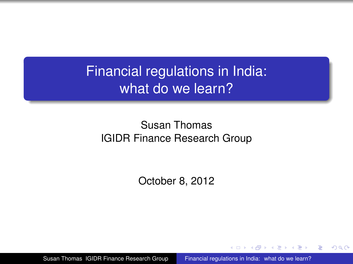Financial regulations in India: what do we learn?

#### [Susan Thomas](http://www.igidr.ac.in/FSRR) [IGIDR Finance Research Group](http://www.igidr.ac.in/FSRR)

October 8, 2012

[Susan Thomas IGIDR Finance Research Group](http://www.igidr.ac.in/FSRR) [Financial regulations in India: what do we learn?](#page-11-0)

医电子 化重子

<span id="page-0-0"></span>B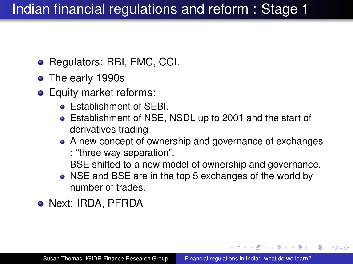# Indian financial regulations and reform : Stage 1

- Regulators: RBI, FMC, CCI.
- The early 1990s
- **•** Equity market reforms:
	- **Establishment of SEBI.**
	- Establishment of NSE, NSDL up to 2001 and the start of derivatives trading
	- A new concept of ownership and governance of exchanges : "three way separation".
		- BSE shifted to a new model of ownership and governance.

K ロ ▶ K 御 ▶ K ヨ ▶ K ヨ ▶ ...

B

- NSE and BSE are in the top 5 exchanges of the world by number of trades.
- Next: IRDA, PFRDA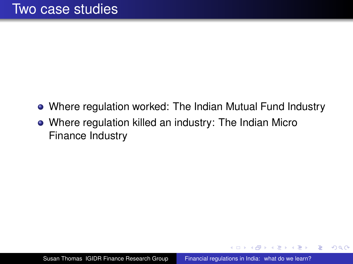- Where regulation worked: The Indian Mutual Fund Industry
- Where regulation killed an industry: The Indian Micro Finance Industry

 $\langle \oplus \rangle$  >  $\langle \oplus \rangle$  >  $\langle \oplus \rangle$ 

4 0 8

B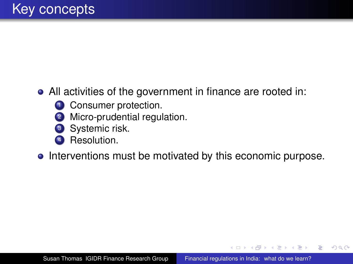#### All activities of the government in finance are rooted in:

- **1** Consumer protection.
- 2 Micro-prudential regulation.
- **3** Systemic risk.
- Resolution.
- Interventions must be motivated by this economic purpose.

イロト イ押 トイヨ トイヨト

B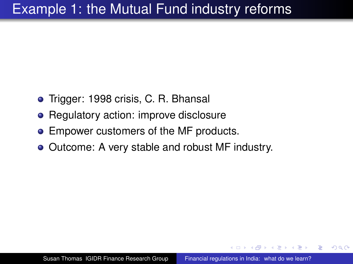### Example 1: the Mutual Fund industry reforms

- Trigger: 1998 crisis, C. R. Bhansal
- Regulatory action: improve disclosure
- Empower customers of the MF products.
- Outcome: A very stable and robust MF industry.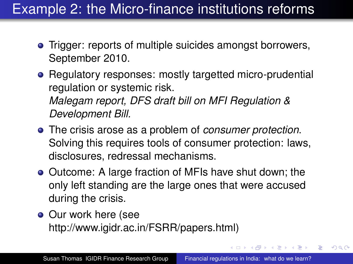## Example 2: the Micro-finance institutions reforms

- Trigger: reports of multiple suicides amongst borrowers, September 2010.
- Regulatory responses: mostly targetted micro-prudential regulation or systemic risk. *Malegam report, DFS draft bill on MFI Regulation & Development Bill.*
- The crisis arose as a problem of *consumer protection*. Solving this requires tools of consumer protection: laws, disclosures, redressal mechanisms.
- Outcome: A large fraction of MFIs have shut down; the only left standing are the large ones that were accused during the crisis.
- Our work here (see http://www.igidr.ac.in/FSRR/papers.html)

B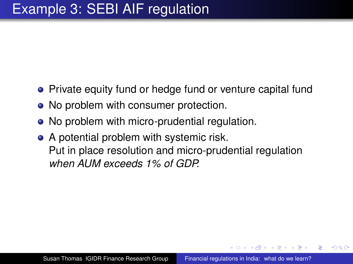- Private equity fund or hedge fund or venture capital fund
- No problem with consumer protection.
- No problem with micro-prudential regulation.
- A potential problem with systemic risk. Put in place resolution and micro-prudential regulation *when AUM exceeds 1% of GDP.*

 $QQ$ 

∢ 何 ▶ ( ( ヨ ) ( ミ ) }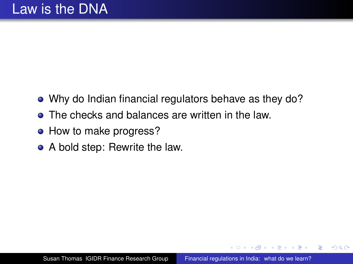- Why do Indian financial regulators behave as they do?
- The checks and balances are written in the law.
- How to make progress?
- A bold step: Rewrite the law.

 $\langle \oplus \rangle$  >  $\langle \oplus \rangle$  >  $\langle \oplus \rangle$ 

ă.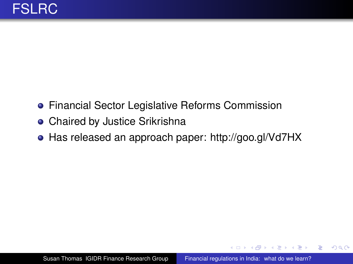- **Financial Sector Legislative Reforms Commission**
- Chaired by Justice Srikrishna
- Has released an approach paper:<http://goo.gl/Vd7HX>

**≮ロト ⊀伊 ▶ ⊀ ヨ ▶ ⊀ ヨ ▶** 

÷.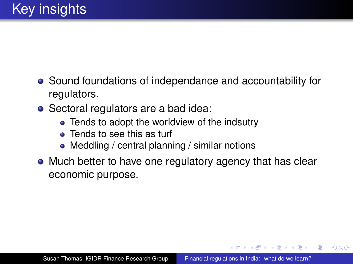- Sound foundations of independance and accountability for regulators.
- Sectoral regulators are a bad idea:
	- Tends to adopt the worldview of the indsutry
	- Tends to see this as turf
	- Meddling / central planning / similar notions
- Much better to have one regulatory agency that has clear economic purpose.

 $\langle \oplus \rangle$  >  $\langle \oplus \rangle$  >  $\langle \oplus \rangle$ 

ă.  $QQ$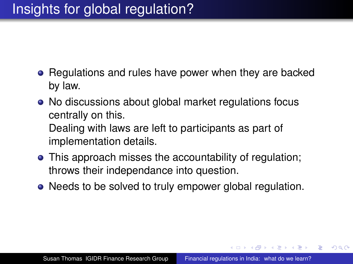- Regulations and rules have power when they are backed by law.
- No discussions about global market regulations focus centrally on this. Dealing with laws are left to participants as part of implementation details.
- This approach misses the accountability of regulation; throws their independance into question.
- Needs to be solved to truly empower global regulation.

K ロ ▶ K 御 ▶ K ヨ ▶ K ヨ ▶ ...

÷.  $QQ$